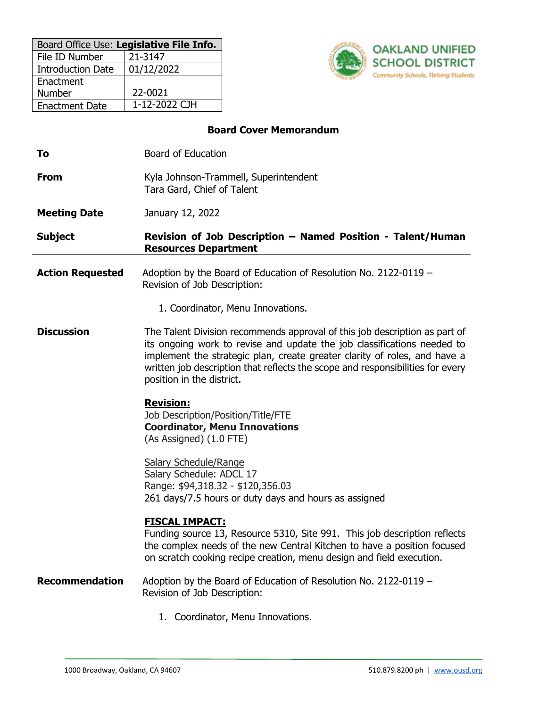| Board Office Use: Legislative File Info. |               |  |  |  |
|------------------------------------------|---------------|--|--|--|
| File ID Number                           | 21-3147       |  |  |  |
| <b>Introduction Date</b>                 | 01/12/2022    |  |  |  |
| Enactment                                |               |  |  |  |
| Number                                   | 22-0021       |  |  |  |
| <b>Enactment Date</b>                    | 1-12-2022 CJH |  |  |  |



# **Board Cover Memorandum**

| To                      | <b>Board of Education</b>                                                                                                                                                                                                                                                                                                                         |
|-------------------------|---------------------------------------------------------------------------------------------------------------------------------------------------------------------------------------------------------------------------------------------------------------------------------------------------------------------------------------------------|
| <b>From</b>             | Kyla Johnson-Trammell, Superintendent<br>Tara Gard, Chief of Talent                                                                                                                                                                                                                                                                               |
| <b>Meeting Date</b>     | January 12, 2022                                                                                                                                                                                                                                                                                                                                  |
| <b>Subject</b>          | Revision of Job Description - Named Position - Talent/Human<br><b>Resources Department</b>                                                                                                                                                                                                                                                        |
| <b>Action Requested</b> | Adoption by the Board of Education of Resolution No. 2122-0119 -<br>Revision of Job Description:                                                                                                                                                                                                                                                  |
|                         | 1. Coordinator, Menu Innovations.                                                                                                                                                                                                                                                                                                                 |
| <b>Discussion</b>       | The Talent Division recommends approval of this job description as part of<br>its ongoing work to revise and update the job classifications needed to<br>implement the strategic plan, create greater clarity of roles, and have a<br>written job description that reflects the scope and responsibilities for every<br>position in the district. |
|                         | <b>Revision:</b><br>Job Description/Position/Title/FTE<br><b>Coordinator, Menu Innovations</b><br>(As Assigned) (1.0 FTE)                                                                                                                                                                                                                         |
|                         | <b>Salary Schedule/Range</b><br>Salary Schedule: ADCL 17<br>Range: \$94,318.32 - \$120,356.03<br>261 days/7.5 hours or duty days and hours as assigned                                                                                                                                                                                            |
|                         | <b>FISCAL IMPACT:</b><br>Funding source 13, Resource 5310, Site 991. This job description reflects<br>the complex needs of the new Central Kitchen to have a position focused<br>on scratch cooking recipe creation, menu design and field execution.                                                                                             |
| <b>Recommendation</b>   | Adoption by the Board of Education of Resolution No. 2122-0119 -<br>Revision of Job Description:                                                                                                                                                                                                                                                  |
|                         | 1. Coordinator, Menu Innovations.                                                                                                                                                                                                                                                                                                                 |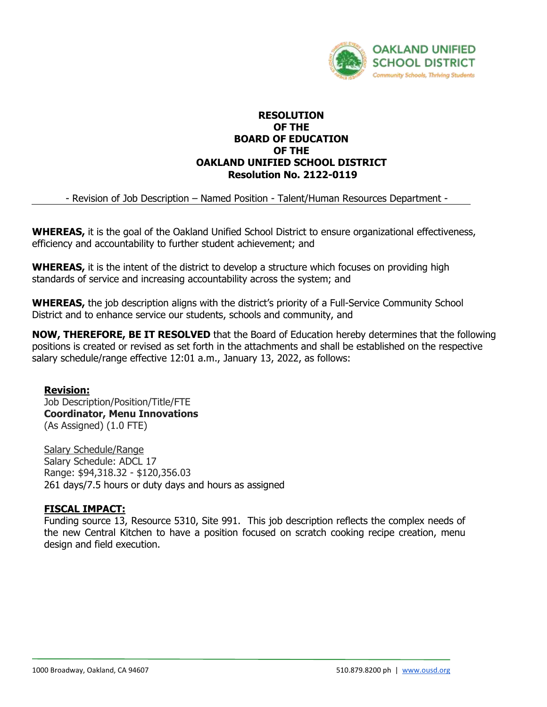

## **RESOLUTION OF THE BOARD OF EDUCATION OF THE OAKLAND UNIFIED SCHOOL DISTRICT Resolution No. 2122-0119**

- Revision of Job Description – Named Position - Talent/Human Resources Department -

**WHEREAS,** it is the goal of the Oakland Unified School District to ensure organizational effectiveness, efficiency and accountability to further student achievement; and

**WHEREAS,** it is the intent of the district to develop a structure which focuses on providing high standards of service and increasing accountability across the system; and

**WHEREAS,** the job description aligns with the district's priority of a Full-Service Community School District and to enhance service our students, schools and community, and

**NOW, THEREFORE, BE IT RESOLVED** that the Board of Education hereby determines that the following positions is created or revised as set forth in the attachments and shall be established on the respective salary schedule/range effective 12:01 a.m., January 13, 2022, as follows:

## **Revision:**

Job Description/Position/Title/FTE **Coordinator, Menu Innovations** (As Assigned) (1.0 FTE)

Salary Schedule/Range Salary Schedule: ADCL 17 Range: \$94,318.32 - \$120,356.03 261 days/7.5 hours or duty days and hours as assigned

## **FISCAL IMPACT:**

Funding source 13, Resource 5310, Site 991. This job description reflects the complex needs of the new Central Kitchen to have a position focused on scratch cooking recipe creation, menu design and field execution.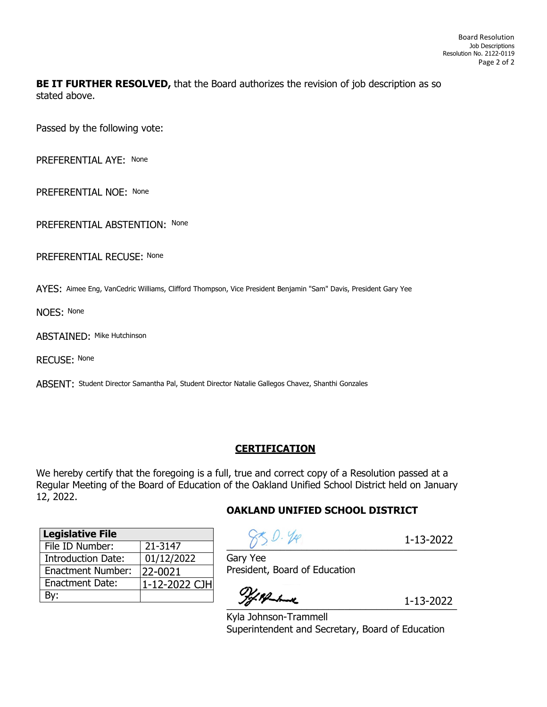# **BE IT FURTHER RESOLVED,** that the Board authorizes the revision of job description as so stated above.

Passed by the following vote:

PREFERENTIAL AYE: None

PREFERENTIAL NOE: None

PREFERENTIAL ABSTENTION: None

PREFERENTIAL RECUSE: None

AYES: Aimee Eng, VanCedric Williams, Clifford Thompson, Vice President Benjamin "Sam" Davis, President Gary Yee

NOES: None

ABSTAINED: Mike Hutchinson

RECUSE: None

ABSENT: Student Director Samantha Pal, Student Director Natalie Gallegos Chavez, Shanthi Gonzales

## **CERTIFICATION**

We hereby certify that the foregoing is a full, true and correct copy of a Resolution passed at a Regular Meeting of the Board of Education of the Oakland Unified School District held on January 12, 2022.

## **OAKLAND UNIFIED SCHOOL DISTRICT**

| <b>Legislative File</b>   |               |
|---------------------------|---------------|
| File ID Number:           | 21-3147       |
| <b>Introduction Date:</b> | 01/12/2022    |
| <b>Enactment Number:</b>  | 22-0021       |
| <b>Enactment Date:</b>    | 1-12-2022 CJH |
| 3v:                       |               |

 $880.49$ 

1-13-2022

Gary Yee President, Board of Education

\_\_\_\_\_\_\_\_\_\_\_\_\_\_\_\_\_\_\_\_\_\_\_\_\_\_\_\_\_\_\_\_\_\_\_\_\_\_\_\_\_\_\_

1-13-2022

Kyla Johnson-Trammell Superintendent and Secretary, Board of Education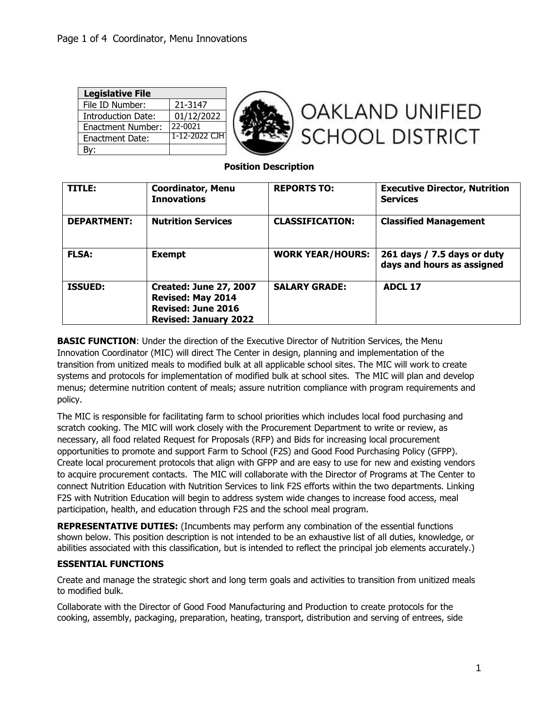| <b>Legislative File</b>  |             |                        |
|--------------------------|-------------|------------------------|
| File ID Number:          | 21-3147     |                        |
| Introduction Date:       | 01/12/2022  | <b>OAKLAND UNIFIED</b> |
| <b>Enactment Number:</b> | 22-0021     |                        |
| Enactment Date:          | 1-12-2022 C | SCHOOL DISTRICT        |
| Bv:                      |             |                        |

## **Position Description**

| TITLE:             | <b>Coordinator, Menu</b><br><b>Innovations</b>                                                                         | <b>REPORTS TO:</b>      | <b>Executive Director, Nutrition</b><br><b>Services</b>   |
|--------------------|------------------------------------------------------------------------------------------------------------------------|-------------------------|-----------------------------------------------------------|
| <b>DEPARTMENT:</b> | <b>Nutrition Services</b>                                                                                              | <b>CLASSIFICATION:</b>  | <b>Classified Management</b>                              |
| <b>FLSA:</b>       | <b>Exempt</b>                                                                                                          | <b>WORK YEAR/HOURS:</b> | 261 days / 7.5 days or duty<br>days and hours as assigned |
| <b>ISSUED:</b>     | <b>Created: June 27, 2007</b><br><b>Revised: May 2014</b><br><b>Revised: June 2016</b><br><b>Revised: January 2022</b> | <b>SALARY GRADE:</b>    | <b>ADCL 17</b>                                            |

**BASIC FUNCTION:** Under the direction of the Executive Director of Nutrition Services, the Menu Innovation Coordinator (MIC) will direct The Center in design, planning and implementation of the transition from unitized meals to modified bulk at all applicable school sites. The MIC will work to create systems and protocols for implementation of modified bulk at school sites. The MIC will plan and develop menus; determine nutrition content of meals; assure nutrition compliance with program requirements and policy.

The MIC is responsible for facilitating farm to school priorities which includes local food purchasing and scratch cooking. The MIC will work closely with the Procurement Department to write or review, as necessary, all food related Request for Proposals (RFP) and Bids for increasing local procurement opportunities to promote and support Farm to School (F2S) and Good Food Purchasing Policy (GFPP). Create local procurement protocols that align with GFPP and are easy to use for new and existing vendors to acquire procurement contacts. The MIC will collaborate with the Director of Programs at The Center to connect Nutrition Education with Nutrition Services to link F2S efforts within the two departments. Linking F2S with Nutrition Education will begin to address system wide changes to increase food access, meal participation, health, and education through F2S and the school meal program.

**REPRESENTATIVE DUTIES:** (Incumbents may perform any combination of the essential functions shown below. This position description is not intended to be an exhaustive list of all duties, knowledge, or abilities associated with this classification, but is intended to reflect the principal job elements accurately.)

## **ESSENTIAL FUNCTIONS**

Create and manage the strategic short and long term goals and activities to transition from unitized meals to modified bulk.

Collaborate with the Director of Good Food Manufacturing and Production to create protocols for the cooking, assembly, packaging, preparation, heating, transport, distribution and serving of entrees, side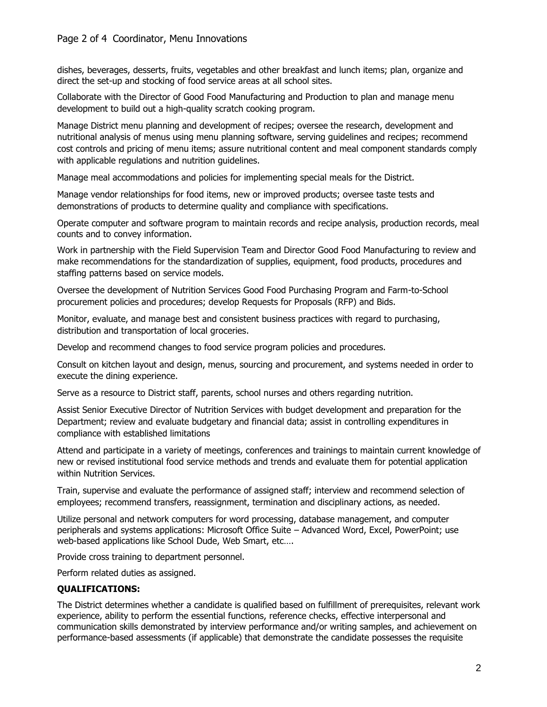## Page 2 of 4 Coordinator, Menu Innovations

dishes, beverages, desserts, fruits, vegetables and other breakfast and lunch items; plan, organize and direct the set-up and stocking of food service areas at all school sites.

Collaborate with the Director of Good Food Manufacturing and Production to plan and manage menu development to build out a high-quality scratch cooking program.

Manage District menu planning and development of recipes; oversee the research, development and nutritional analysis of menus using menu planning software, serving guidelines and recipes; recommend cost controls and pricing of menu items; assure nutritional content and meal component standards comply with applicable regulations and nutrition guidelines.

Manage meal accommodations and policies for implementing special meals for the District.

Manage vendor relationships for food items, new or improved products; oversee taste tests and demonstrations of products to determine quality and compliance with specifications.

Operate computer and software program to maintain records and recipe analysis, production records, meal counts and to convey information.

Work in partnership with the Field Supervision Team and Director Good Food Manufacturing to review and make recommendations for the standardization of supplies, equipment, food products, procedures and staffing patterns based on service models.

Oversee the development of Nutrition Services Good Food Purchasing Program and Farm-to-School procurement policies and procedures; develop Requests for Proposals (RFP) and Bids.

Monitor, evaluate, and manage best and consistent business practices with regard to purchasing, distribution and transportation of local groceries.

Develop and recommend changes to food service program policies and procedures.

Consult on kitchen layout and design, menus, sourcing and procurement, and systems needed in order to execute the dining experience.

Serve as a resource to District staff, parents, school nurses and others regarding nutrition.

Assist Senior Executive Director of Nutrition Services with budget development and preparation for the Department; review and evaluate budgetary and financial data; assist in controlling expenditures in compliance with established limitations

Attend and participate in a variety of meetings, conferences and trainings to maintain current knowledge of new or revised institutional food service methods and trends and evaluate them for potential application within Nutrition Services.

Train, supervise and evaluate the performance of assigned staff; interview and recommend selection of employees; recommend transfers, reassignment, termination and disciplinary actions, as needed.

Utilize personal and network computers for word processing, database management, and computer peripherals and systems applications: Microsoft Office Suite – Advanced Word, Excel, PowerPoint; use web-based applications like School Dude, Web Smart, etc….

Provide cross training to department personnel.

Perform related duties as assigned.

## **QUALIFICATIONS:**

The District determines whether a candidate is qualified based on fulfillment of prerequisites, relevant work experience, ability to perform the essential functions, reference checks, effective interpersonal and communication skills demonstrated by interview performance and/or writing samples, and achievement on performance-based assessments (if applicable) that demonstrate the candidate possesses the requisite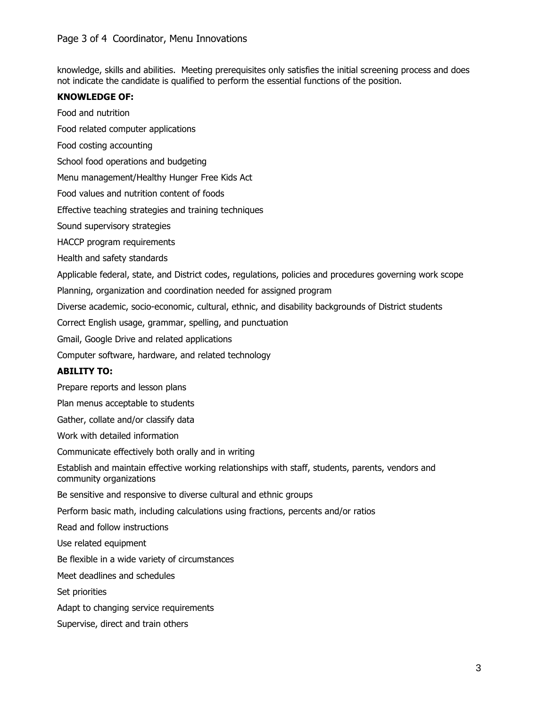knowledge, skills and abilities. Meeting prerequisites only satisfies the initial screening process and does not indicate the candidate is qualified to perform the essential functions of the position.

#### **KNOWLEDGE OF:**

Food and nutrition

Food related computer applications

Food costing accounting

School food operations and budgeting

Menu management/Healthy Hunger Free Kids Act

Food values and nutrition content of foods

Effective teaching strategies and training techniques

Sound supervisory strategies

HACCP program requirements

Health and safety standards

Applicable federal, state, and District codes, regulations, policies and procedures governing work scope

Planning, organization and coordination needed for assigned program

Diverse academic, socio-economic, cultural, ethnic, and disability backgrounds of District students

Correct English usage, grammar, spelling, and punctuation

Gmail, Google Drive and related applications

Computer software, hardware, and related technology

## **ABILITY TO:**

Prepare reports and lesson plans

Plan menus acceptable to students

Gather, collate and/or classify data

Work with detailed information

Communicate effectively both orally and in writing

Establish and maintain effective working relationships with staff, students, parents, vendors and community organizations

Be sensitive and responsive to diverse cultural and ethnic groups

Perform basic math, including calculations using fractions, percents and/or ratios

Read and follow instructions

Use related equipment

Be flexible in a wide variety of circumstances

Meet deadlines and schedules

Set priorities

Adapt to changing service requirements

Supervise, direct and train others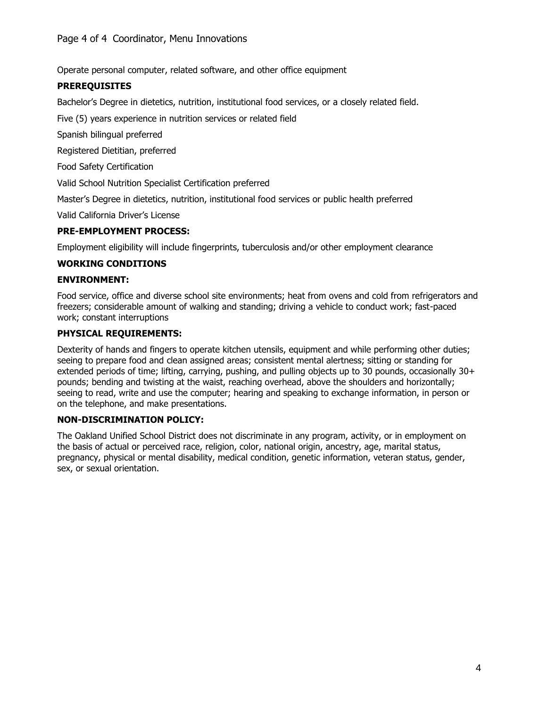Operate personal computer, related software, and other office equipment

# **PREREQUISITES**

Bachelor's Degree in dietetics, nutrition, institutional food services, or a closely related field.

Five (5) years experience in nutrition services or related field

Spanish bilingual preferred

Registered Dietitian, preferred

Food Safety Certification

Valid School Nutrition Specialist Certification preferred

Master's Degree in dietetics, nutrition, institutional food services or public health preferred

Valid California Driver's License

## **PRE-EMPLOYMENT PROCESS:**

Employment eligibility will include fingerprints, tuberculosis and/or other employment clearance

#### **WORKING CONDITIONS**

#### **ENVIRONMENT:**

Food service, office and diverse school site environments; heat from ovens and cold from refrigerators and freezers; considerable amount of walking and standing; driving a vehicle to conduct work; fast-paced work; constant interruptions

#### **PHYSICAL REQUIREMENTS:**

Dexterity of hands and fingers to operate kitchen utensils, equipment and while performing other duties; seeing to prepare food and clean assigned areas; consistent mental alertness; sitting or standing for extended periods of time; lifting, carrying, pushing, and pulling objects up to 30 pounds, occasionally 30+ pounds; bending and twisting at the waist, reaching overhead, above the shoulders and horizontally; seeing to read, write and use the computer; hearing and speaking to exchange information, in person or on the telephone, and make presentations.

#### **NON-DISCRIMINATION POLICY:**

The Oakland Unified School District does not discriminate in any program, activity, or in employment on the basis of actual or perceived race, religion, color, national origin, ancestry, age, marital status, pregnancy, physical or mental disability, medical condition, genetic information, veteran status, gender, sex, or sexual orientation.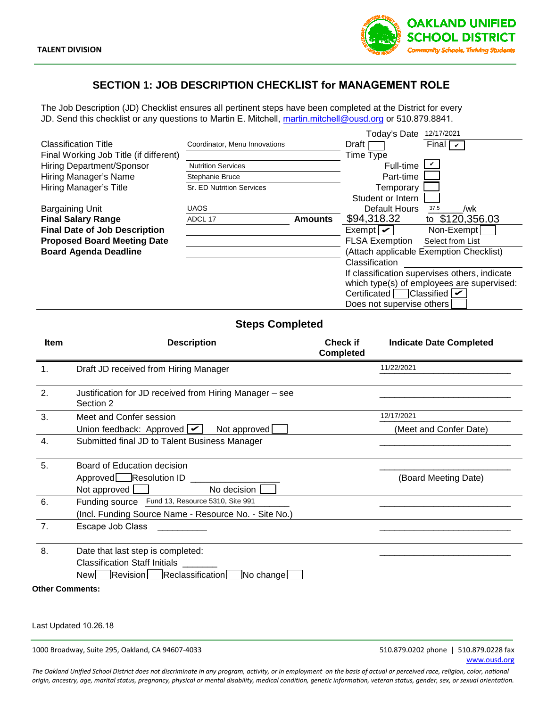

# **SECTION 1: JOB DESCRIPTION CHECKLIST for MANAGEMENT ROLE**

The Job Description (JD) Checklist ensures all pertinent steps have been completed at the District for every JD. Send this checklist or any questions to Martin E. Mitchell, martin.mitchell@ousd.org or 510.879.8841.

|                                        |                               |                | Today's Date              | 12/17/2021                                    |
|----------------------------------------|-------------------------------|----------------|---------------------------|-----------------------------------------------|
| <b>Classification Title</b>            | Coordinator, Menu Innovations |                | Draft                     | Final $\sqrt{ }$                              |
| Final Working Job Title (if different) |                               |                | Time Type                 |                                               |
| Hiring Department/Sponsor              | <b>Nutrition Services</b>     |                | Full-time                 |                                               |
| Hiring Manager's Name                  | Stephanie Bruce               |                | Part-time                 |                                               |
| Hiring Manager's Title                 | Sr. ED Nutrition Services     |                | Temporary                 |                                               |
|                                        |                               |                | Student or Intern         |                                               |
| <b>Bargaining Unit</b>                 | <b>UAOS</b>                   |                | Default Hours             | 37.5<br>/wk                                   |
| <b>Final Salary Range</b>              | ADCL 17                       | <b>Amounts</b> | \$94,318.32               | to \$120,356.03                               |
| <b>Final Date of Job Description</b>   |                               |                | Exempt $\boxed{\smile}$   | Non-Exempt                                    |
| <b>Proposed Board Meeting Date</b>     |                               |                | <b>FLSA Exemption</b>     | Select from List                              |
| <b>Board Agenda Deadline</b>           |                               |                |                           | (Attach applicable Exemption Checklist)       |
|                                        |                               |                | Classification            |                                               |
|                                        |                               |                |                           | If classification supervises others, indicate |
|                                        |                               |                |                           | which type(s) of employees are supervised:    |
|                                        |                               |                | Certificated              | Classified $\triangleright$                   |
|                                        |                               |                | Does not supervise others |                                               |

# **Steps Completed**

|                                                                     | Classification Title                                    | Coordinator, Menu Innovations |                | Draft                   |                                | Final $\vert \nu \vert$                         |                                            |
|---------------------------------------------------------------------|---------------------------------------------------------|-------------------------------|----------------|-------------------------|--------------------------------|-------------------------------------------------|--------------------------------------------|
| Final Working Job Title (if different)<br>Hiring Department/Sponsor |                                                         |                               |                | Time Type               |                                | v                                               |                                            |
|                                                                     |                                                         | <b>Nutrition Services</b>     |                |                         | Full-time                      |                                                 |                                            |
|                                                                     | Hiring Manager's Name                                   | Stephanie Bruce               |                |                         | Part-time                      |                                                 |                                            |
|                                                                     | Hiring Manager's Title                                  | Sr. ED Nutrition Services     |                |                         | Temporary<br>Student or Intern |                                                 |                                            |
|                                                                     | <b>Bargaining Unit</b>                                  | <b>UAOS</b>                   |                |                         | Default Hours                  | 37.5                                            | /wk                                        |
|                                                                     | <b>Final Salary Range</b>                               | ADCL 17                       | <b>Amounts</b> | \$94,318.32             |                                | to \$120,356.03                                 |                                            |
|                                                                     | <b>Final Date of Job Description</b>                    |                               |                | Exempt $\boxed{\smile}$ |                                | Non-Exempt                                      |                                            |
|                                                                     | <b>Proposed Board Meeting Date</b>                      |                               |                | <b>FLSA Exemption</b>   |                                | Select from List                                |                                            |
|                                                                     | <b>Board Agenda Deadline</b>                            |                               |                |                         |                                | (Attach applicable Exemption Checklist)         |                                            |
|                                                                     |                                                         |                               |                | Classification          |                                |                                                 |                                            |
|                                                                     |                                                         |                               |                |                         |                                | If classification supervises others, indicate   |                                            |
|                                                                     |                                                         |                               |                |                         |                                |                                                 | which type(s) of employees are supervised: |
|                                                                     |                                                         |                               |                |                         |                                | Certificated $\Box$ Classified $\triangleright$ |                                            |
|                                                                     |                                                         |                               |                |                         | Does not supervise others      |                                                 |                                            |
|                                                                     |                                                         |                               |                |                         |                                |                                                 |                                            |
|                                                                     |                                                         | <b>Steps Completed</b>        |                |                         |                                |                                                 |                                            |
| <b>Item</b>                                                         |                                                         | <b>Description</b>            |                | <b>Check if</b>         |                                | <b>Indicate Date Completed</b>                  |                                            |
|                                                                     |                                                         |                               |                | <b>Completed</b>        |                                |                                                 |                                            |
| 1 <sub>1</sub>                                                      | Draft JD received from Hiring Manager                   |                               |                |                         | 11/22/2021                     |                                                 |                                            |
|                                                                     |                                                         |                               |                |                         |                                |                                                 |                                            |
| 2.                                                                  | Justification for JD received from Hiring Manager - see |                               |                |                         |                                |                                                 |                                            |
|                                                                     | Section 2                                               |                               |                |                         |                                |                                                 |                                            |
| 3.                                                                  | Meet and Confer session                                 |                               |                |                         | 12/17/2021                     |                                                 |                                            |
|                                                                     | Union feedback: Approved $\boxed{\smile}$               | Not approved                  |                |                         |                                | (Meet and Confer Date)                          |                                            |
| 4.                                                                  | Submitted final JD to Talent Business Manager           |                               |                |                         |                                |                                                 |                                            |
|                                                                     |                                                         |                               |                |                         |                                |                                                 |                                            |
| 5.                                                                  | Board of Education decision                             |                               |                |                         |                                |                                                 |                                            |
|                                                                     | Approved Resolution ID ____                             |                               |                |                         |                                | (Board Meeting Date)                            |                                            |
|                                                                     | Not approved [                                          | No decision                   |                |                         |                                |                                                 |                                            |
| 6.                                                                  | Funding source Fund 13, Resource 5310, Site 991         |                               |                |                         |                                |                                                 |                                            |
|                                                                     | (Incl. Funding Source Name - Resource No. - Site No.)   |                               |                |                         |                                |                                                 |                                            |
| 7.                                                                  | Escape Job Class                                        |                               |                |                         |                                |                                                 |                                            |
|                                                                     |                                                         |                               |                |                         |                                |                                                 |                                            |
| 8.                                                                  | Date that last step is completed:                       |                               |                |                         |                                |                                                 |                                            |
|                                                                     | <b>Classification Staff Initials</b>                    |                               |                |                         |                                |                                                 |                                            |
|                                                                     | <b>New</b><br>Revision                                  | Reclassification<br>No change |                |                         |                                |                                                 |                                            |
|                                                                     | Other Comments:                                         |                               |                |                         |                                |                                                 |                                            |
|                                                                     |                                                         |                               |                |                         |                                |                                                 |                                            |

Last Updated 10.26.18

1000 Broadway, Suite 295, Oakland, CA 94607-4033 510.879.0202 phone | 510.879.0228 fax

*The Oakland Unified School District does not discriminate in any program, activity, or in employment on the basis of actual or perceived race, religion, color, national origin, ancestry, age, marital status, pregnancy, physical or mental disability, medical condition, genetic information, veteran status, gender, sex, or sexual orientation.*